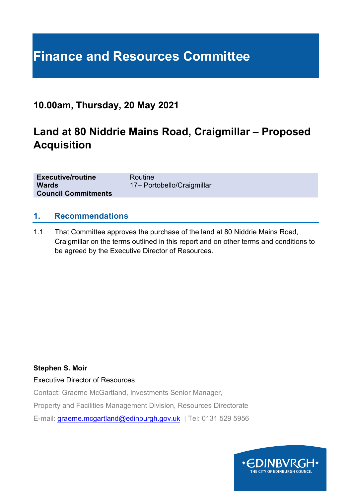# **Finance and Resources Committee**

### **10.00am, Thursday, 20 May 2021**

## **Land at 80 Niddrie Mains Road, Craigmillar – Proposed Acquisition**

| <b>Executive/routine</b>   | Routine                    |
|----------------------------|----------------------------|
| <b>Wards</b>               | 17- Portobello/Craigmillar |
| <b>Council Commitments</b> |                            |

#### **1. Recommendations**

1.1 That Committee approves the purchase of the land at 80 Niddrie Mains Road, Craigmillar on the terms outlined in this report and on other terms and conditions to be agreed by the Executive Director of Resources.

#### **Stephen S. Moir**

#### Executive Director of Resources

Contact: Graeme McGartland, Investments Senior Manager,

Property and Facilities Management Division, Resources Directorate

E-mail: [graeme.mcgartland@edinburgh.gov.uk](mailto:graeme.mcgartland@edinburgh.gov.uk) | Tel: 0131 529 5956

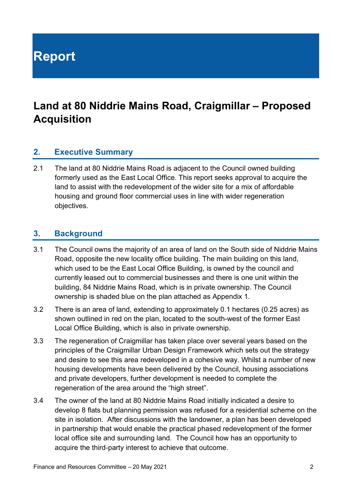**Report**

## **Land at 80 Niddrie Mains Road, Craigmillar – Proposed Acquisition**

#### **2. Executive Summary**

2.1 The land at 80 Niddrie Mains Road is adjacent to the Council owned building formerly used as the East Local Office. This report seeks approval to acquire the land to assist with the redevelopment of the wider site for a mix of affordable housing and ground floor commercial uses in line with wider regeneration objectives.

#### **3. Background**

- 3.1 The Council owns the majority of an area of land on the South side of Niddrie Mains Road, opposite the new locality office building. The main building on this land, which used to be the East Local Office Building, is owned by the council and currently leased out to commercial businesses and there is one unit within the building, 84 Niddrie Mains Road, which is in private ownership. The Council ownership is shaded blue on the plan attached as Appendix 1.
- 3.2 There is an area of land, extending to approximately 0.1 hectares (0.25 acres) as shown outlined in red on the plan, located to the south-west of the former East Local Office Building, which is also in private ownership.
- 3.3 The regeneration of Craigmillar has taken place over several years based on the principles of the Craigmillar Urban Design Framework which sets out the strategy and desire to see this area redeveloped in a cohesive way. Whilst a number of new housing developments have been delivered by the Council, housing associations and private developers, further development is needed to complete the regeneration of the area around the "high street".
- 3.4 The owner of the land at 80 Niddrie Mains Road initially indicated a desire to develop 8 flats but planning permission was refused for a residential scheme on the site in isolation. After discussions with the landowner, a plan has been developed in partnership that would enable the practical phased redevelopment of the former local office site and surrounding land. The Council how has an opportunity to acquire the third-party interest to achieve that outcome.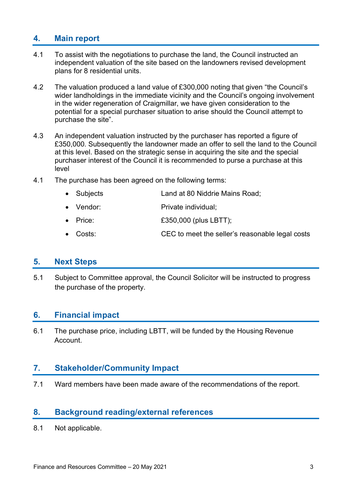#### **4. Main report**

- 4.1 To assist with the negotiations to purchase the land, the Council instructed an independent valuation of the site based on the landowners revised development plans for 8 residential units.
- 4.2 The valuation produced a land value of £300,000 noting that given "the Council's wider landholdings in the immediate vicinity and the Council's ongoing involvement in the wider regeneration of Craigmillar, we have given consideration to the potential for a special purchaser situation to arise should the Council attempt to purchase the site".
- 4.3 An independent valuation instructed by the purchaser has reported a figure of £350,000. Subsequently the landowner made an offer to sell the land to the Council at this level. Based on the strategic sense in acquiring the site and the special purchaser interest of the Council it is recommended to purse a purchase at this level
- 4.1 The purchase has been agreed on the following terms:
	- Subjects Land at 80 Niddrie Mains Road;
	- Vendor: Private individual:
	- **Price:**  $£350,000$  (plus LBTT);
	- Costs: CEC to meet the seller's reasonable legal costs

#### **5. Next Steps**

5.1 Subject to Committee approval, the Council Solicitor will be instructed to progress the purchase of the property.

#### **6. Financial impact**

6.1 The purchase price, including LBTT, will be funded by the Housing Revenue Account.

#### **7. Stakeholder/Community Impact**

7.1 Ward members have been made aware of the recommendations of the report.

#### **8. Background reading/external references**

8.1 Not applicable.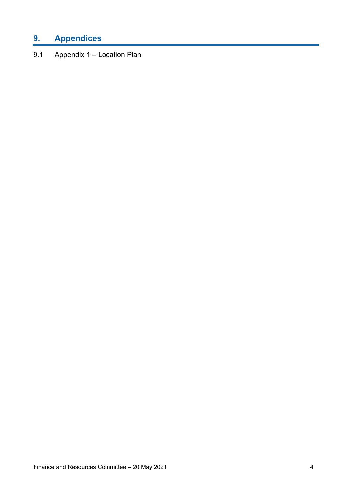### **9. Appendices**

9.1 Appendix 1 – Location Plan